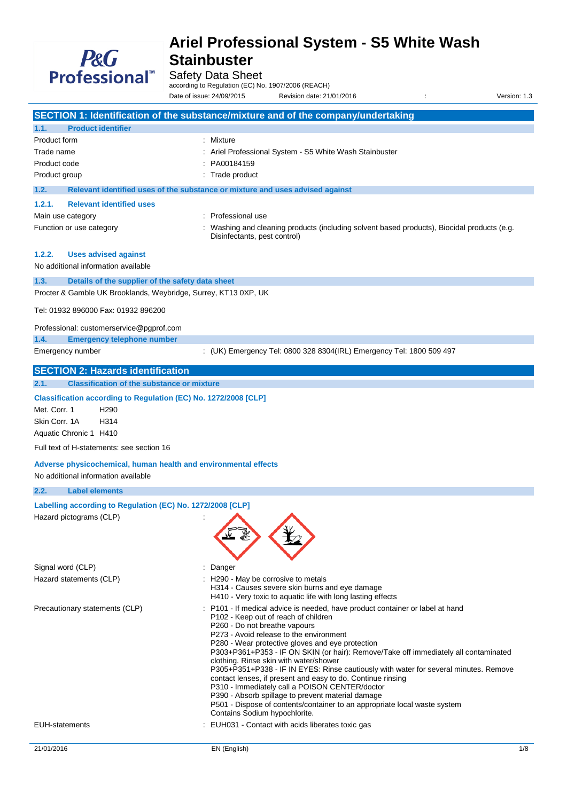

Safety Data Sheet

according to Regulation (EC) No. 1907/2006 (REACH)

Date of issue: 24/09/2015 Revision date: 21/01/2016 : Version: 1.3

**SECTION 1: Identification of the substance/mixture and of the company/undertaking 1.1. Product identifier** Product form : Mixture Trade name **in the state of the STATE CONG.** Ariel Professional System - S5 White Wash Stainbuster Product code : PA00184159 Product group **in the case of the contract of the contract of the contract of the contract of the contract of the contract of the contract of the contract of the contract of the contract of the contract of the contract of 1.2. Relevant identified uses of the substance or mixture and uses advised against 1.2.1. Relevant identified uses** Main use category **Example 20** and the Professional use Function or use category **including 1998** : Washing and cleaning products (including solvent based products), Biocidal products (e.g. Disinfectants, pest control) **1.2.2. Uses advised against** No additional information available **1.3. Details of the supplier of the safety data sheet** Procter & Gamble UK Brooklands, Weybridge, Surrey, KT13 0XP, UK Tel: 01932 896000 Fax: 01932 896200 Professional: customerservice@pgprof.com **1.4. Emergency telephone number** Emergency number : (UK) Emergency Tel: 0800 328 8304(IRL) Emergency Tel: 1800 509 497 **SECTION 2: Hazards identification 2.1. Classification of the substance or mixture Classification according to Regulation (EC) No. 1272/2008 [CLP]** Met. Corr. 1 H290 Skin Corr. 1A H314 Aquatic Chronic 1 H410 Full text of H-statements: see section 16 **Adverse physicochemical, human health and environmental effects** No additional information available **2.2. Label elements Labelling according to Regulation (EC) No. 1272/2008 [CLP]** Hazard pictograms (CLP) : Signal word (CLP)  $\qquad \qquad$ : Danger Hazard statements (CLP)  $\qquad \qquad$ : H290 - May be corrosive to metals H314 - Causes severe skin burns and eye damage H410 - Very toxic to aquatic life with long lasting effects Precautionary statements (CLP) : P101 - If medical advice is needed, have product container or label at hand P102 - Keep out of reach of children P260 - Do not breathe vapours P273 - Avoid release to the environment P280 - Wear protective gloves and eye protection P303+P361+P353 - IF ON SKIN (or hair): Remove/Take off immediately all contaminated clothing. Rinse skin with water/shower P305+P351+P338 - IF IN EYES: Rinse cautiously with water for several minutes. Remove contact lenses, if present and easy to do. Continue rinsing P310 - Immediately call a POISON CENTER/doctor P390 - Absorb spillage to prevent material damage P501 - Dispose of contents/container to an appropriate local waste system Contains Sodium hypochlorite. EUH-statements : EUH031 - Contact with acids liberates toxic gas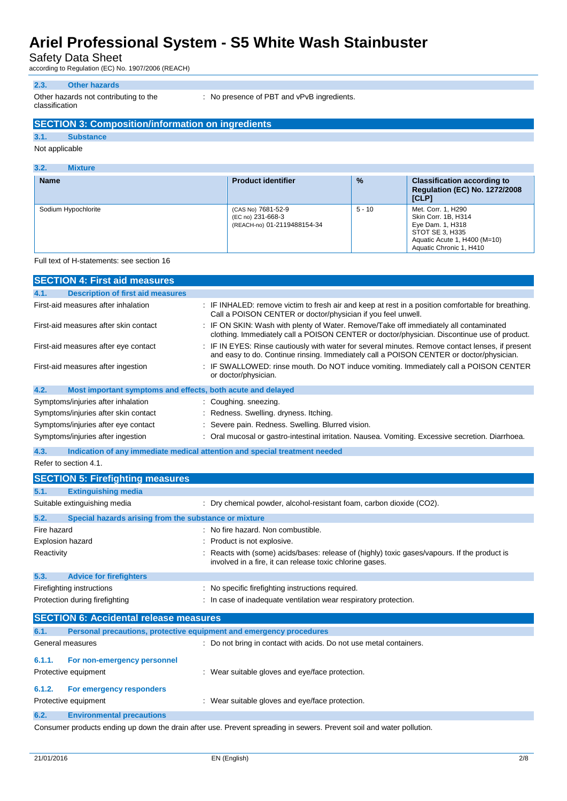Safety Data Sheet

according to Regulation (EC) No. 1907/2006 (REACH)

### **2.3. Other hazards**

Other hazards not contributing to the classification

: No presence of PBT and vPvB ingredients.

## **SECTION 3: Composition/information on ingredients**

### **3.1. Substance**

#### Not applicable

| 3.2.<br><b>Mixture</b> |                                                                        |               |                                                                                                                                             |
|------------------------|------------------------------------------------------------------------|---------------|---------------------------------------------------------------------------------------------------------------------------------------------|
| <b>Name</b>            | <b>Product identifier</b>                                              | $\frac{9}{6}$ | <b>Classification according to</b><br><b>Regulation (EC) No. 1272/2008</b><br>[CLP]                                                         |
| Sodium Hypochlorite    | (CAS No) 7681-52-9<br>(EC no) 231-668-3<br>(REACH-no) 01-2119488154-34 | $5 - 10$      | Met. Corr. 1, H290<br>Skin Corr. 1B. H314<br>Eye Dam. 1, H318<br>STOT SE 3, H335<br>Aquatic Acute 1, H400 (M=10)<br>Aquatic Chronic 1, H410 |

#### Full text of H-statements: see section 16

|                         | <b>SECTION 4: First aid measures</b>                                |                                                                                                                                                                                           |
|-------------------------|---------------------------------------------------------------------|-------------------------------------------------------------------------------------------------------------------------------------------------------------------------------------------|
| 4.1.                    | <b>Description of first aid measures</b>                            |                                                                                                                                                                                           |
|                         | First-aid measures after inhalation                                 | : IF INHALED: remove victim to fresh air and keep at rest in a position comfortable for breathing.<br>Call a POISON CENTER or doctor/physician if you feel unwell.                        |
|                         | First-aid measures after skin contact                               | : IF ON SKIN: Wash with plenty of Water. Remove/Take off immediately all contaminated<br>clothing. Immediately call a POISON CENTER or doctor/physician. Discontinue use of product.      |
|                         | First-aid measures after eye contact                                | IF IN EYES: Rinse cautiously with water for several minutes. Remove contact lenses, if present<br>and easy to do. Continue rinsing. Immediately call a POISON CENTER or doctor/physician. |
|                         | First-aid measures after ingestion                                  | IF SWALLOWED: rinse mouth. Do NOT induce vomiting. Immediately call a POISON CENTER<br>or doctor/physician.                                                                               |
| 4.2.                    | Most important symptoms and effects, both acute and delayed         |                                                                                                                                                                                           |
|                         | Symptoms/injuries after inhalation                                  | Coughing. sneezing.                                                                                                                                                                       |
|                         | Symptoms/injuries after skin contact                                | Redness. Swelling. dryness. Itching.                                                                                                                                                      |
|                         | Symptoms/injuries after eye contact                                 | Severe pain. Redness. Swelling. Blurred vision.                                                                                                                                           |
|                         | Symptoms/injuries after ingestion                                   | Oral mucosal or gastro-intestinal irritation. Nausea. Vomiting. Excessive secretion. Diarrhoea.                                                                                           |
| 4.3.                    |                                                                     | Indication of any immediate medical attention and special treatment needed                                                                                                                |
|                         | Refer to section 4.1.                                               |                                                                                                                                                                                           |
|                         | <b>SECTION 5: Firefighting measures</b>                             |                                                                                                                                                                                           |
| 5.1.                    | <b>Extinguishing media</b>                                          |                                                                                                                                                                                           |
|                         | Suitable extinguishing media                                        | : Dry chemical powder, alcohol-resistant foam, carbon dioxide (CO2).                                                                                                                      |
| 5.2.                    | Special hazards arising from the substance or mixture               |                                                                                                                                                                                           |
| Fire hazard             |                                                                     | : No fire hazard. Non combustible.                                                                                                                                                        |
| <b>Explosion hazard</b> |                                                                     | Product is not explosive.                                                                                                                                                                 |
| Reactivity              |                                                                     | Reacts with (some) acids/bases: release of (highly) toxic gases/vapours. If the product is<br>involved in a fire, it can release toxic chlorine gases.                                    |
| 5.3.                    | <b>Advice for firefighters</b>                                      |                                                                                                                                                                                           |
|                         | Firefighting instructions                                           | : No specific firefighting instructions required.                                                                                                                                         |
|                         | Protection during firefighting                                      | : In case of inadequate ventilation wear respiratory protection.                                                                                                                          |
|                         | <b>SECTION 6: Accidental release measures</b>                       |                                                                                                                                                                                           |
| 6.1.                    | Personal precautions, protective equipment and emergency procedures |                                                                                                                                                                                           |
|                         | General measures                                                    | : Do not bring in contact with acids. Do not use metal containers.                                                                                                                        |
| 6.1.1.                  | For non-emergency personnel                                         |                                                                                                                                                                                           |
|                         | Protective equipment                                                | : Wear suitable gloves and eye/face protection.                                                                                                                                           |
|                         |                                                                     |                                                                                                                                                                                           |
| 6.1.2.                  | For emergency responders                                            |                                                                                                                                                                                           |
|                         | Protective equipment                                                | : Wear suitable gloves and eye/face protection.                                                                                                                                           |
| 6.2.                    | <b>Environmental precautions</b>                                    |                                                                                                                                                                                           |
|                         |                                                                     | Consumer products ending up down the drain after use. Prevent spreading in sewers. Prevent soil and water pollution.                                                                      |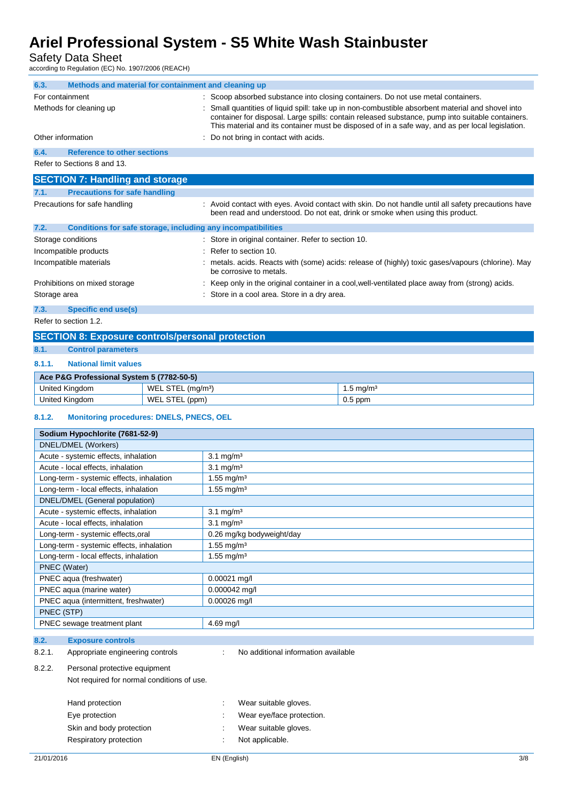Safety Data Sheet<br>according to Regulation (EC) No

| according to Regulation (EC) No. 1907/2006 (REACH)           |                                                         |                                                                                                                                                                                                                                                                                                         |                                                                                                                                                                                      |  |
|--------------------------------------------------------------|---------------------------------------------------------|---------------------------------------------------------------------------------------------------------------------------------------------------------------------------------------------------------------------------------------------------------------------------------------------------------|--------------------------------------------------------------------------------------------------------------------------------------------------------------------------------------|--|
| 6.3.<br>Methods and material for containment and cleaning up |                                                         |                                                                                                                                                                                                                                                                                                         |                                                                                                                                                                                      |  |
| For containment                                              |                                                         |                                                                                                                                                                                                                                                                                                         | : Scoop absorbed substance into closing containers. Do not use metal containers.                                                                                                     |  |
| Methods for cleaning up                                      |                                                         | Small quantities of liquid spill: take up in non-combustible absorbent material and shovel into<br>container for disposal. Large spills: contain released substance, pump into suitable containers.<br>This material and its container must be disposed of in a safe way, and as per local legislation. |                                                                                                                                                                                      |  |
| Other information                                            |                                                         | Do not bring in contact with acids.                                                                                                                                                                                                                                                                     |                                                                                                                                                                                      |  |
| 6.4.<br><b>Reference to other sections</b>                   |                                                         |                                                                                                                                                                                                                                                                                                         |                                                                                                                                                                                      |  |
| Refer to Sections 8 and 13.                                  |                                                         |                                                                                                                                                                                                                                                                                                         |                                                                                                                                                                                      |  |
| <b>SECTION 7: Handling and storage</b>                       |                                                         |                                                                                                                                                                                                                                                                                                         |                                                                                                                                                                                      |  |
| 7.1.<br><b>Precautions for safe handling</b>                 |                                                         |                                                                                                                                                                                                                                                                                                         |                                                                                                                                                                                      |  |
| Precautions for safe handling                                |                                                         |                                                                                                                                                                                                                                                                                                         | : Avoid contact with eyes. Avoid contact with skin. Do not handle until all safety precautions have<br>been read and understood. Do not eat, drink or smoke when using this product. |  |
| 7.2.                                                         |                                                         | Conditions for safe storage, including any incompatibilities                                                                                                                                                                                                                                            |                                                                                                                                                                                      |  |
| Storage conditions                                           |                                                         | : Store in original container. Refer to section 10.                                                                                                                                                                                                                                                     |                                                                                                                                                                                      |  |
| Incompatible products                                        |                                                         | Refer to section 10.                                                                                                                                                                                                                                                                                    |                                                                                                                                                                                      |  |
| Incompatible materials                                       |                                                         | metals. acids. Reacts with (some) acids: release of (highly) toxic gases/vapours (chlorine). May<br>be corrosive to metals.                                                                                                                                                                             |                                                                                                                                                                                      |  |
| Prohibitions on mixed storage                                |                                                         | Keep only in the original container in a cool, well-ventilated place away from (strong) acids.                                                                                                                                                                                                          |                                                                                                                                                                                      |  |
| Storage area                                                 |                                                         | Store in a cool area. Store in a dry area.                                                                                                                                                                                                                                                              |                                                                                                                                                                                      |  |
| 7.3.<br>Specific end use(s)                                  |                                                         |                                                                                                                                                                                                                                                                                                         |                                                                                                                                                                                      |  |
| Refer to section 1.2.                                        |                                                         |                                                                                                                                                                                                                                                                                                         |                                                                                                                                                                                      |  |
|                                                              | <b>SECTION 8: Exposure controls/personal protection</b> |                                                                                                                                                                                                                                                                                                         |                                                                                                                                                                                      |  |
| 8.1.<br><b>Control parameters</b>                            |                                                         |                                                                                                                                                                                                                                                                                                         |                                                                                                                                                                                      |  |
| 8.1.1.<br><b>National limit values</b>                       |                                                         |                                                                                                                                                                                                                                                                                                         |                                                                                                                                                                                      |  |
| Ace P&G Professional System 5 (7782-50-5)                    |                                                         |                                                                                                                                                                                                                                                                                                         |                                                                                                                                                                                      |  |
| United Kingdom                                               | WEL STEL (mg/m <sup>3</sup> )                           |                                                                                                                                                                                                                                                                                                         | 1.5 mg/m <sup>3</sup>                                                                                                                                                                |  |
| United Kingdom                                               | WEL STEL (ppm)                                          |                                                                                                                                                                                                                                                                                                         | $0.5$ ppm                                                                                                                                                                            |  |
| 8.1.2.<br><b>Monitoring procedures: DNELS, PNECS, OEL</b>    |                                                         |                                                                                                                                                                                                                                                                                                         |                                                                                                                                                                                      |  |
| Sodium Hypochlorite (7681-52-9)                              |                                                         |                                                                                                                                                                                                                                                                                                         |                                                                                                                                                                                      |  |
| DNEL/DMEL (Workers)                                          |                                                         |                                                                                                                                                                                                                                                                                                         |                                                                                                                                                                                      |  |
| Acute - systemic effects, inhalation                         |                                                         | $3.1 \text{ mg/m}^3$                                                                                                                                                                                                                                                                                    |                                                                                                                                                                                      |  |
| Acute - local effects, inhalation                            |                                                         | $3.1 \text{ mg/m}^3$                                                                                                                                                                                                                                                                                    |                                                                                                                                                                                      |  |
| Long-term - systemic effects, inhalation                     |                                                         | 1.55 mg/m <sup>3</sup>                                                                                                                                                                                                                                                                                  |                                                                                                                                                                                      |  |
| Long-term - local effects, inhalation                        |                                                         | 1.55 mg/m <sup>3</sup>                                                                                                                                                                                                                                                                                  |                                                                                                                                                                                      |  |
| DNEL/DMEL (General population)                               |                                                         |                                                                                                                                                                                                                                                                                                         |                                                                                                                                                                                      |  |
| Acute - systemic effects, inhalation                         |                                                         | $3.1 \text{ mg/m}^3$                                                                                                                                                                                                                                                                                    |                                                                                                                                                                                      |  |
| Acute - local effects, inhalation                            |                                                         | $3.1 \text{ mg/m}^3$                                                                                                                                                                                                                                                                                    |                                                                                                                                                                                      |  |
| Long-term - systemic effects, oral                           |                                                         | 0.26 mg/kg bodyweight/day                                                                                                                                                                                                                                                                               |                                                                                                                                                                                      |  |
| Long-term - systemic effects, inhalation                     |                                                         | 1.55 mg/m <sup>3</sup>                                                                                                                                                                                                                                                                                  |                                                                                                                                                                                      |  |
| Long-term - local effects, inhalation                        |                                                         | 1.55 mg/m <sup>3</sup>                                                                                                                                                                                                                                                                                  |                                                                                                                                                                                      |  |

PNEC aqua (freshwater) 0.00021 mg/l PNEC aqua (marine water) 0.000042 mg/l PNEC aqua (intermittent, freshwater) 0.00026 mg/l

PNEC sewage treatment plant 14.69 mg/l

Not required for normal conditions of use.

PNEC (Water)

PNEC (STP)

**8.2. Exposure controls**

8.2.2. Personal protective equipment

8.2.1. Appropriate engineering controls : No additional information available

Hand protection **in the suitable set of the suitable gloves.** Wear suitable gloves. Eye protection **in the contract of the CO** is a Wear eye/face protection.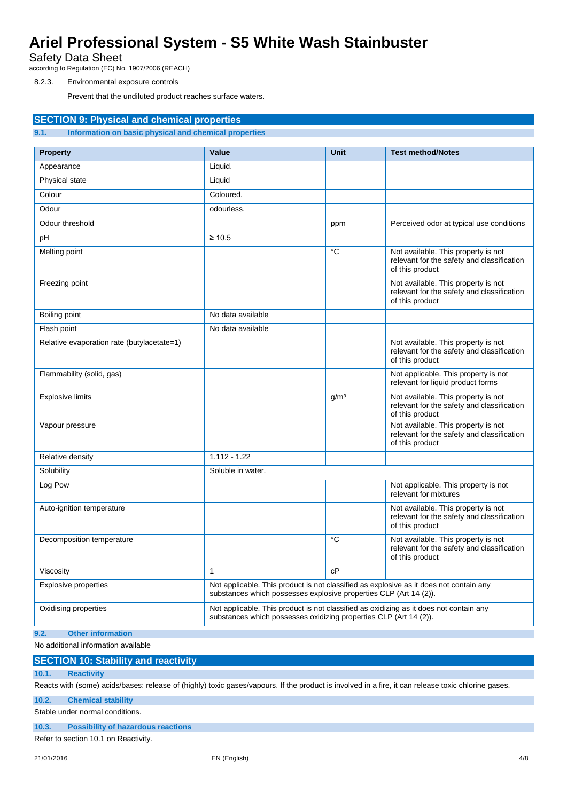Safety Data Sheet

according to Regulation (EC) No. 1907/2006 (REACH)

#### 8.2.3. Environmental exposure controls

Prevent that the undiluted product reaches surface waters.

**SECTION 9: Physical and chemical properties**

| Information on basic physical and chemical properties<br>9.1. |                                                                                                                                                             |                  |                                                                                                      |
|---------------------------------------------------------------|-------------------------------------------------------------------------------------------------------------------------------------------------------------|------------------|------------------------------------------------------------------------------------------------------|
| <b>Property</b>                                               | Value                                                                                                                                                       | <b>Unit</b>      | <b>Test method/Notes</b>                                                                             |
| Appearance                                                    | Liquid.                                                                                                                                                     |                  |                                                                                                      |
| Physical state                                                | Liquid                                                                                                                                                      |                  |                                                                                                      |
| Colour                                                        | Coloured.                                                                                                                                                   |                  |                                                                                                      |
| Odour                                                         | odourless.                                                                                                                                                  |                  |                                                                                                      |
| Odour threshold                                               |                                                                                                                                                             | ppm              | Perceived odor at typical use conditions                                                             |
| pH                                                            | $\geq 10.5$                                                                                                                                                 |                  |                                                                                                      |
| Melting point                                                 |                                                                                                                                                             | $^{\circ}C$      | Not available. This property is not<br>relevant for the safety and classification<br>of this product |
| Freezing point                                                |                                                                                                                                                             |                  | Not available. This property is not<br>relevant for the safety and classification<br>of this product |
| Boiling point                                                 | No data available                                                                                                                                           |                  |                                                                                                      |
| Flash point                                                   | No data available                                                                                                                                           |                  |                                                                                                      |
| Relative evaporation rate (butylacetate=1)                    |                                                                                                                                                             |                  | Not available. This property is not<br>relevant for the safety and classification<br>of this product |
| Flammability (solid, gas)                                     |                                                                                                                                                             |                  | Not applicable. This property is not<br>relevant for liquid product forms                            |
| <b>Explosive limits</b>                                       |                                                                                                                                                             | q/m <sup>3</sup> | Not available. This property is not<br>relevant for the safety and classification<br>of this product |
| Vapour pressure                                               |                                                                                                                                                             |                  | Not available. This property is not<br>relevant for the safety and classification<br>of this product |
| Relative density                                              | $1.112 - 1.22$                                                                                                                                              |                  |                                                                                                      |
| Solubility                                                    | Soluble in water.                                                                                                                                           |                  |                                                                                                      |
| Log Pow                                                       |                                                                                                                                                             |                  | Not applicable. This property is not<br>relevant for mixtures                                        |
| Auto-ignition temperature                                     |                                                                                                                                                             |                  | Not available. This property is not<br>relevant for the safety and classification<br>of this product |
| Decomposition temperature                                     |                                                                                                                                                             | $^{\circ}C$      | Not available. This property is not<br>relevant for the safety and classification<br>of this product |
| Viscosity                                                     | 1                                                                                                                                                           | cP               |                                                                                                      |
| <b>Explosive properties</b>                                   | Not applicable. This product is not classified as explosive as it does not contain any<br>substances which possesses explosive properties CLP (Art 14 (2)). |                  |                                                                                                      |
| Oxidising properties                                          | Not applicable. This product is not classified as oxidizing as it does not contain any<br>substances which possesses oxidizing properties CLP (Art 14 (2)). |                  |                                                                                                      |

**9.2. Other information**

No additional information available

**SECTION 10: Stability and reactivity**

#### **10.1. Reactivity**

Reacts with (some) acids/bases: release of (highly) toxic gases/vapours. If the product is involved in a fire, it can release toxic chlorine gases.

**10.2. Chemical stability**

#### Stable under normal conditions.

**10.3. Possibility of hazardous reactions**

Refer to section 10.1 on Reactivity.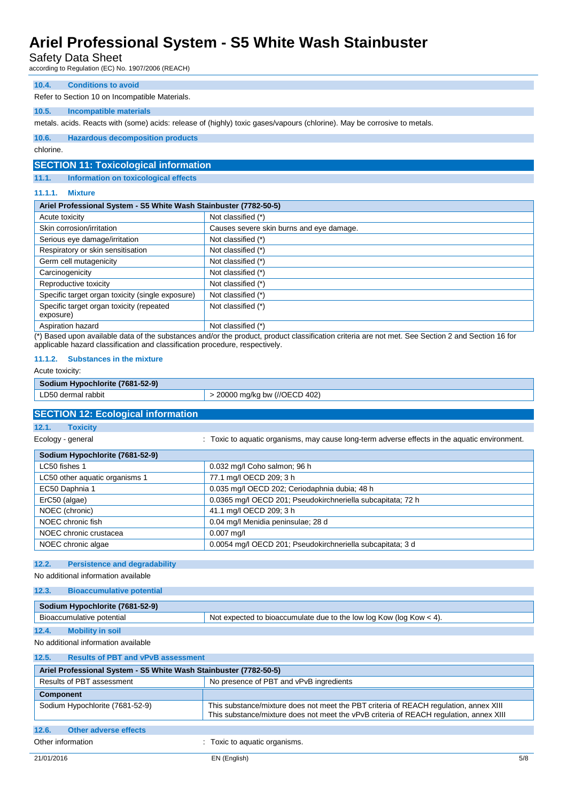### Safety Data Sheet

according to Regulation (EC) No. 1907/2006 (REACH)

#### **10.4. Conditions to avoid**

Refer to Section 10 on Incompatible Materials.

#### **10.5. Incompatible materials**

metals. acids. Reacts with (some) acids: release of (highly) toxic gases/vapours (chlorine). May be corrosive to metals.

#### **10.6. Hazardous decomposition products**

chlorine.

### **SECTION 11: Toxicological information**

**11.1. Information on toxicological effects**

#### **11.1.1. Mixture**

| Ariel Professional System - S5 White Wash Stainbuster (7782-50-5) |                                                                                                     |  |
|-------------------------------------------------------------------|-----------------------------------------------------------------------------------------------------|--|
| Acute toxicity                                                    | Not classified (*)                                                                                  |  |
| Skin corrosion/irritation                                         | Causes severe skin burns and eye damage.                                                            |  |
| Serious eye damage/irritation                                     | Not classified (*)                                                                                  |  |
| Respiratory or skin sensitisation                                 | Not classified (*)                                                                                  |  |
| Germ cell mutagenicity                                            | Not classified (*)                                                                                  |  |
| Carcinogenicity                                                   | Not classified (*)                                                                                  |  |
| Reproductive toxicity                                             | Not classified (*)                                                                                  |  |
| Specific target organ toxicity (single exposure)                  | Not classified (*)                                                                                  |  |
| Specific target organ toxicity (repeated<br>exposure)             | Not classified (*)                                                                                  |  |
| Aspiration hazard                                                 | Not classified (*)<br>الممدان والتواصيل التارين التواصيل المتحدث المتحدث والمناصر المناطقة المستحدث |  |

(\*) Based upon available data of the substances and/or the product, product classification criteria are not met. See Section 2 and Section 16 for applicable hazard classification and classification procedure, respectively.

#### **11.1.2. Substances in the mixture**

Acute toxicity:

### **Sodium Hypochlorite (7681-52-9)**

#### **SECTION 12: Ecological information**

**12.1. Toxicity**

Ecology - general **interpretatal in the act of a constant C** : Toxic to aquatic organisms, may cause long-term adverse effects in the aquatic environment.

| 0.032 mg/l Coho salmon; 96 h                                |
|-------------------------------------------------------------|
| 77.1 mg/l OECD 209; 3 h                                     |
| 0.035 mg/l OECD 202; Ceriodaphnia dubia; 48 h               |
| 0.0365 mg/l OECD 201; Pseudokirchneriella subcapitata; 72 h |
| 41.1 mg/l OECD 209; 3 h                                     |
| 0.04 mg/l Menidia peninsulae; 28 d                          |
| $0.007$ mg/l                                                |
| 0.0054 mg/l OECD 201; Pseudokirchneriella subcapitata; 3 d  |
|                                                             |

#### **12.2. Persistence and degradability**

No additional information available

### **12.3. Bioaccumulative potential**

| $-1$ , we we will be a set of $\sim$ $\sim$ $\sim$ . The set of $\sim$ |                                                                       |
|------------------------------------------------------------------------|-----------------------------------------------------------------------|
|                                                                        |                                                                       |
| Sodium Hypochlorite (7681-52-9)                                        |                                                                       |
| Bioaccumulative potential                                              | Not expected to bioaccumulate due to the low log Kow (log Kow $<$ 4). |
|                                                                        |                                                                       |

**12.4. Mobility in soil**

#### No additional information available

| 12.5.<br><b>Results of PBT and vPvB assessment</b>                |                                                                                                                                                                                 |  |  |
|-------------------------------------------------------------------|---------------------------------------------------------------------------------------------------------------------------------------------------------------------------------|--|--|
| Ariel Professional System - S5 White Wash Stainbuster (7782-50-5) |                                                                                                                                                                                 |  |  |
| Results of PBT assessment                                         | No presence of PBT and vPvB ingredients                                                                                                                                         |  |  |
| <b>Component</b>                                                  |                                                                                                                                                                                 |  |  |
| Sodium Hypochlorite (7681-52-9)                                   | This substance/mixture does not meet the PBT criteria of REACH regulation, annex XIII<br>This substance/mixture does not meet the vPvB criteria of REACH regulation, annex XIII |  |  |
| 12.6.<br><b>Other adverse effects</b>                             |                                                                                                                                                                                 |  |  |
| Other information                                                 | Toxic to aquatic organisms.                                                                                                                                                     |  |  |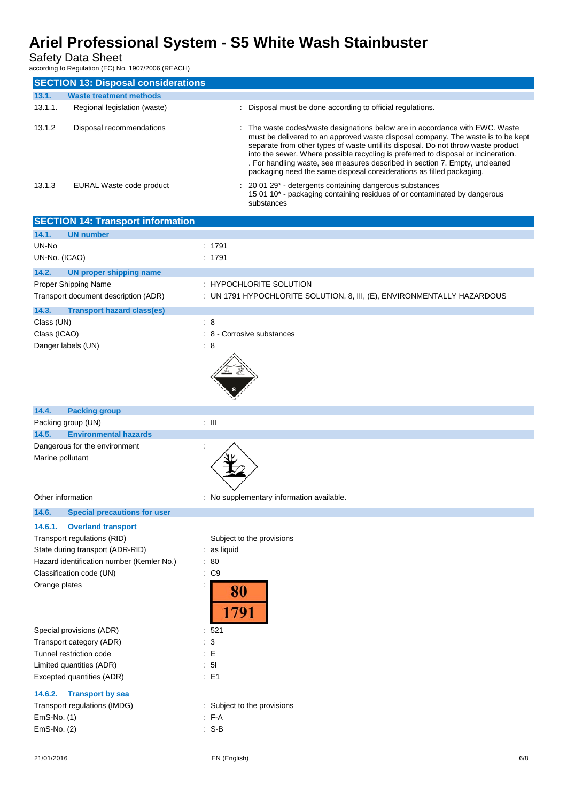### Safety Data Sheet

according to Regulation (EC) No. 1907/2006 (REACH)

|         | <b>SECTION 13: Disposal considerations</b> |                                                                                                                                                                                                                                                                                                                                                                                                                                                                                                    |
|---------|--------------------------------------------|----------------------------------------------------------------------------------------------------------------------------------------------------------------------------------------------------------------------------------------------------------------------------------------------------------------------------------------------------------------------------------------------------------------------------------------------------------------------------------------------------|
| 13.1.   | <b>Waste treatment methods</b>             |                                                                                                                                                                                                                                                                                                                                                                                                                                                                                                    |
| 13.1.1. | Regional legislation (waste)               | : Disposal must be done according to official regulations.                                                                                                                                                                                                                                                                                                                                                                                                                                         |
| 13.1.2  | Disposal recommendations                   | : The waste codes/waste designations below are in accordance with EWC. Waste<br>must be delivered to an approved waste disposal company. The waste is to be kept<br>separate from other types of waste until its disposal. Do not throw waste product<br>into the sewer. Where possible recycling is preferred to disposal or incineration.<br>. For handling waste, see measures described in section 7. Empty, uncleaned<br>packaging need the same disposal considerations as filled packaging. |
| 13.1.3  | EURAL Waste code product                   | $\therefore$ 20 01 29 <sup>*</sup> - detergents containing dangerous substances<br>15 01 10 <sup>*</sup> - packaging containing residues of or contaminated by dangerous<br>substances                                                                                                                                                                                                                                                                                                             |

| <b>SECTION 14: Transport information</b><br>14.1.<br><b>UN number</b><br>UN-No<br>: 1791<br>UN-No. (ICAO)<br>: 1791<br><b>UN proper shipping name</b><br>14.2.<br>Proper Shipping Name<br><b>HYPOCHLORITE SOLUTION</b><br>÷<br>Transport document description (ADR)<br>UN 1791 HYPOCHLORITE SOLUTION, 8, III, (E), ENVIRONMENTALLY HAZARDOUS<br><b>Transport hazard class(es)</b><br>14.3.<br>$\therefore$ 8<br>Class (UN)<br>Class (ICAO)<br>: 8<br>- Corrosive substances<br>Danger labels (UN)<br>: 8 |  |
|----------------------------------------------------------------------------------------------------------------------------------------------------------------------------------------------------------------------------------------------------------------------------------------------------------------------------------------------------------------------------------------------------------------------------------------------------------------------------------------------------------|--|
|                                                                                                                                                                                                                                                                                                                                                                                                                                                                                                          |  |
|                                                                                                                                                                                                                                                                                                                                                                                                                                                                                                          |  |
|                                                                                                                                                                                                                                                                                                                                                                                                                                                                                                          |  |
|                                                                                                                                                                                                                                                                                                                                                                                                                                                                                                          |  |
|                                                                                                                                                                                                                                                                                                                                                                                                                                                                                                          |  |
|                                                                                                                                                                                                                                                                                                                                                                                                                                                                                                          |  |
|                                                                                                                                                                                                                                                                                                                                                                                                                                                                                                          |  |
|                                                                                                                                                                                                                                                                                                                                                                                                                                                                                                          |  |
|                                                                                                                                                                                                                                                                                                                                                                                                                                                                                                          |  |
|                                                                                                                                                                                                                                                                                                                                                                                                                                                                                                          |  |
|                                                                                                                                                                                                                                                                                                                                                                                                                                                                                                          |  |
|                                                                                                                                                                                                                                                                                                                                                                                                                                                                                                          |  |
|                                                                                                                                                                                                                                                                                                                                                                                                                                                                                                          |  |
|                                                                                                                                                                                                                                                                                                                                                                                                                                                                                                          |  |
|                                                                                                                                                                                                                                                                                                                                                                                                                                                                                                          |  |
| <b>Packing group</b><br>14.4.                                                                                                                                                                                                                                                                                                                                                                                                                                                                            |  |
| $\pm$ 111<br>Packing group (UN)<br><b>Environmental hazards</b>                                                                                                                                                                                                                                                                                                                                                                                                                                          |  |
| 14.5.                                                                                                                                                                                                                                                                                                                                                                                                                                                                                                    |  |
| Dangerous for the environment<br>Marine pollutant                                                                                                                                                                                                                                                                                                                                                                                                                                                        |  |
|                                                                                                                                                                                                                                                                                                                                                                                                                                                                                                          |  |
|                                                                                                                                                                                                                                                                                                                                                                                                                                                                                                          |  |
|                                                                                                                                                                                                                                                                                                                                                                                                                                                                                                          |  |
| Other information<br>: No supplementary information available.                                                                                                                                                                                                                                                                                                                                                                                                                                           |  |
| <b>Special precautions for user</b><br>14.6.                                                                                                                                                                                                                                                                                                                                                                                                                                                             |  |
| <b>Overland transport</b><br>14.6.1.                                                                                                                                                                                                                                                                                                                                                                                                                                                                     |  |
| Transport regulations (RID)<br>Subject to the provisions                                                                                                                                                                                                                                                                                                                                                                                                                                                 |  |
| State during transport (ADR-RID)<br>: as liquid                                                                                                                                                                                                                                                                                                                                                                                                                                                          |  |
| Hazard identification number (Kemler No.)<br>$\therefore 80$                                                                                                                                                                                                                                                                                                                                                                                                                                             |  |
| Classification code (UN)<br>$\therefore$ C9                                                                                                                                                                                                                                                                                                                                                                                                                                                              |  |
| Orange plates<br>80                                                                                                                                                                                                                                                                                                                                                                                                                                                                                      |  |
|                                                                                                                                                                                                                                                                                                                                                                                                                                                                                                          |  |
| 791                                                                                                                                                                                                                                                                                                                                                                                                                                                                                                      |  |
| Special provisions (ADR)<br>:521                                                                                                                                                                                                                                                                                                                                                                                                                                                                         |  |
| Transport category (ADR)<br>$\therefore$ 3                                                                                                                                                                                                                                                                                                                                                                                                                                                               |  |
| Tunnel restriction code<br>E                                                                                                                                                                                                                                                                                                                                                                                                                                                                             |  |
| Limited quantities (ADR)<br>: 51                                                                                                                                                                                                                                                                                                                                                                                                                                                                         |  |
| Excepted quantities (ADR)<br>$\therefore$ E1                                                                                                                                                                                                                                                                                                                                                                                                                                                             |  |
|                                                                                                                                                                                                                                                                                                                                                                                                                                                                                                          |  |
| <b>Transport by sea</b><br>14.6.2.                                                                                                                                                                                                                                                                                                                                                                                                                                                                       |  |
| Transport regulations (IMDG)<br>: Subject to the provisions<br>EmS-No. (1)<br>$F-A$                                                                                                                                                                                                                                                                                                                                                                                                                      |  |
| $: S-B$<br>EmS-No. (2)                                                                                                                                                                                                                                                                                                                                                                                                                                                                                   |  |
|                                                                                                                                                                                                                                                                                                                                                                                                                                                                                                          |  |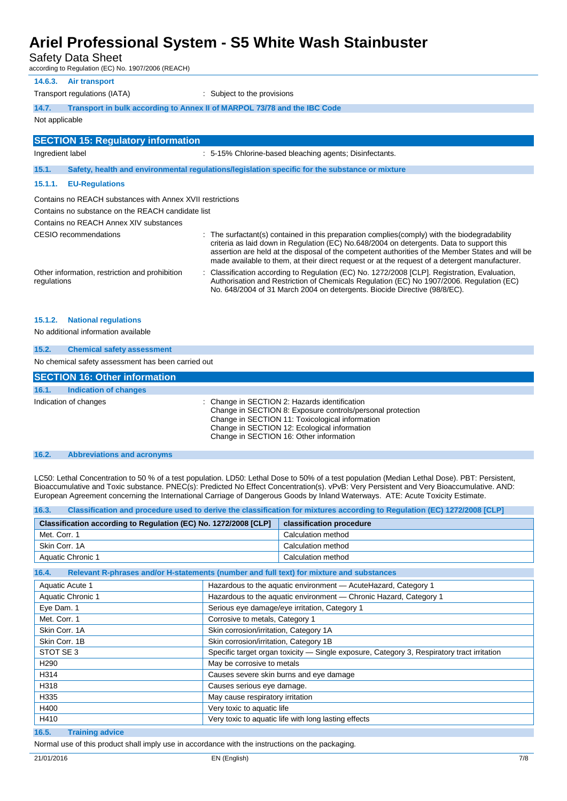Safety Data Sheet

according to Regulation (EC) No. 1907/2006 (REACH)

| 14.6.3.<br>Air transport<br>: Subject to the provisions<br>Transport regulations (IATA)<br>14.7.<br>Transport in bulk according to Annex II of MARPOL 73/78 and the IBC Code<br>Not applicable<br><b>SECTION 15: Regulatory information</b><br>: 5-15% Chlorine-based bleaching agents; Disinfectants.<br>Ingredient label<br>Safety, health and environmental regulations/legislation specific for the substance or mixture<br>15.1.<br><b>EU-Regulations</b><br>15.1.1.<br>Contains no REACH substances with Annex XVII restrictions<br>Contains no substance on the REACH candidate list<br>Contains no REACH Annex XIV substances<br>: The surfactant(s) contained in this preparation complies(comply) with the biodegradability<br>CESIO recommendations<br>criteria as laid down in Regulation (EC) No.648/2004 on detergents. Data to support this<br>made available to them, at their direct request or at the request of a detergent manufacturer.<br>: Classification according to Regulation (EC) No. 1272/2008 [CLP]. Registration, Evaluation,<br>Other information, restriction and prohibition<br>Authorisation and Restriction of Chemicals Regulation (EC) No 1907/2006. Regulation (EC)<br>regulations<br>No. 648/2004 of 31 March 2004 on detergents. Biocide Directive (98/8/EC). |                                                                                                  |
|--------------------------------------------------------------------------------------------------------------------------------------------------------------------------------------------------------------------------------------------------------------------------------------------------------------------------------------------------------------------------------------------------------------------------------------------------------------------------------------------------------------------------------------------------------------------------------------------------------------------------------------------------------------------------------------------------------------------------------------------------------------------------------------------------------------------------------------------------------------------------------------------------------------------------------------------------------------------------------------------------------------------------------------------------------------------------------------------------------------------------------------------------------------------------------------------------------------------------------------------------------------------------------------------------------|--------------------------------------------------------------------------------------------------|
|                                                                                                                                                                                                                                                                                                                                                                                                                                                                                                                                                                                                                                                                                                                                                                                                                                                                                                                                                                                                                                                                                                                                                                                                                                                                                                        |                                                                                                  |
|                                                                                                                                                                                                                                                                                                                                                                                                                                                                                                                                                                                                                                                                                                                                                                                                                                                                                                                                                                                                                                                                                                                                                                                                                                                                                                        |                                                                                                  |
|                                                                                                                                                                                                                                                                                                                                                                                                                                                                                                                                                                                                                                                                                                                                                                                                                                                                                                                                                                                                                                                                                                                                                                                                                                                                                                        |                                                                                                  |
|                                                                                                                                                                                                                                                                                                                                                                                                                                                                                                                                                                                                                                                                                                                                                                                                                                                                                                                                                                                                                                                                                                                                                                                                                                                                                                        |                                                                                                  |
|                                                                                                                                                                                                                                                                                                                                                                                                                                                                                                                                                                                                                                                                                                                                                                                                                                                                                                                                                                                                                                                                                                                                                                                                                                                                                                        |                                                                                                  |
|                                                                                                                                                                                                                                                                                                                                                                                                                                                                                                                                                                                                                                                                                                                                                                                                                                                                                                                                                                                                                                                                                                                                                                                                                                                                                                        |                                                                                                  |
|                                                                                                                                                                                                                                                                                                                                                                                                                                                                                                                                                                                                                                                                                                                                                                                                                                                                                                                                                                                                                                                                                                                                                                                                                                                                                                        |                                                                                                  |
|                                                                                                                                                                                                                                                                                                                                                                                                                                                                                                                                                                                                                                                                                                                                                                                                                                                                                                                                                                                                                                                                                                                                                                                                                                                                                                        |                                                                                                  |
|                                                                                                                                                                                                                                                                                                                                                                                                                                                                                                                                                                                                                                                                                                                                                                                                                                                                                                                                                                                                                                                                                                                                                                                                                                                                                                        |                                                                                                  |
|                                                                                                                                                                                                                                                                                                                                                                                                                                                                                                                                                                                                                                                                                                                                                                                                                                                                                                                                                                                                                                                                                                                                                                                                                                                                                                        |                                                                                                  |
|                                                                                                                                                                                                                                                                                                                                                                                                                                                                                                                                                                                                                                                                                                                                                                                                                                                                                                                                                                                                                                                                                                                                                                                                                                                                                                        |                                                                                                  |
|                                                                                                                                                                                                                                                                                                                                                                                                                                                                                                                                                                                                                                                                                                                                                                                                                                                                                                                                                                                                                                                                                                                                                                                                                                                                                                        | assertion are held at the disposal of the competent authorities of the Member States and will be |
|                                                                                                                                                                                                                                                                                                                                                                                                                                                                                                                                                                                                                                                                                                                                                                                                                                                                                                                                                                                                                                                                                                                                                                                                                                                                                                        |                                                                                                  |

#### **15.1.2. National regulations**

#### No additional information available

| 15.2.<br><b>Chemical safety assessment</b>         |                                                                                                                                                                                                                                                           |  |  |
|----------------------------------------------------|-----------------------------------------------------------------------------------------------------------------------------------------------------------------------------------------------------------------------------------------------------------|--|--|
| No chemical safety assessment has been carried out |                                                                                                                                                                                                                                                           |  |  |
| <b>SECTION 16: Other information</b>               |                                                                                                                                                                                                                                                           |  |  |
| 16.1.<br>Indication of changes                     |                                                                                                                                                                                                                                                           |  |  |
| Indication of changes                              | : Change in SECTION 2: Hazards identification<br>Change in SECTION 8: Exposure controls/personal protection<br>Change in SECTION 11: Toxicological information<br>Change in SECTION 12: Ecological information<br>Change in SECTION 16: Other information |  |  |

#### **16.2. Abbreviations and acronyms**

LC50: Lethal Concentration to 50 % of a test population. LD50: Lethal Dose to 50% of a test population (Median Lethal Dose). PBT: Persistent, Bioaccumulative and Toxic substance. PNEC(s): Predicted No Effect Concentration(s). vPvB: Very Persistent and Very Bioaccumulative. AND: European Agreement concerning the International Carriage of Dangerous Goods by Inland Waterways. ATE: Acute Toxicity Estimate.

| 16.3.<br>Classification and procedure used to derive the classification for mixtures according to Regulation (EC) 1272/2008 [CLP] |                                                                                            |                          |  |
|-----------------------------------------------------------------------------------------------------------------------------------|--------------------------------------------------------------------------------------------|--------------------------|--|
| Classification according to Regulation (EC) No. 1272/2008 [CLP]                                                                   |                                                                                            | classification procedure |  |
| Met. Corr. 1                                                                                                                      |                                                                                            | Calculation method       |  |
| Skin Corr, 1A                                                                                                                     |                                                                                            | Calculation method       |  |
| Aquatic Chronic 1                                                                                                                 |                                                                                            | Calculation method       |  |
| Relevant R-phrases and/or H-statements (number and full text) for mixture and substances<br>16.4.                                 |                                                                                            |                          |  |
| Aquatic Acute 1                                                                                                                   | Hazardous to the aquatic environment - Acute Hazard, Category 1                            |                          |  |
| Aquatic Chronic 1                                                                                                                 | Hazardous to the aquatic environment - Chronic Hazard, Category 1                          |                          |  |
| Eye Dam. 1                                                                                                                        | Serious eye damage/eye irritation, Category 1                                              |                          |  |
| Met. Corr. 1                                                                                                                      | Corrosive to metals, Category 1                                                            |                          |  |
| Skin Corr. 1A                                                                                                                     | Skin corrosion/irritation, Category 1A                                                     |                          |  |
| Skin Corr, 1B                                                                                                                     | Skin corrosion/irritation, Category 1B                                                     |                          |  |
| STOT SE 3                                                                                                                         | Specific target organ toxicity — Single exposure, Category 3, Respiratory tract irritation |                          |  |
| H <sub>290</sub>                                                                                                                  | May be corrosive to metals                                                                 |                          |  |
| H314                                                                                                                              | Causes severe skin burns and eye damage                                                    |                          |  |
| H318                                                                                                                              | Causes serious eye damage.                                                                 |                          |  |
| H335                                                                                                                              | May cause respiratory irritation                                                           |                          |  |
| H400                                                                                                                              | Very toxic to aquatic life                                                                 |                          |  |
| H410                                                                                                                              | Very toxic to aquatic life with long lasting effects                                       |                          |  |
| 16.5.<br><b>Training advice</b>                                                                                                   |                                                                                            |                          |  |

Normal use of this product shall imply use in accordance with the instructions on the packaging.